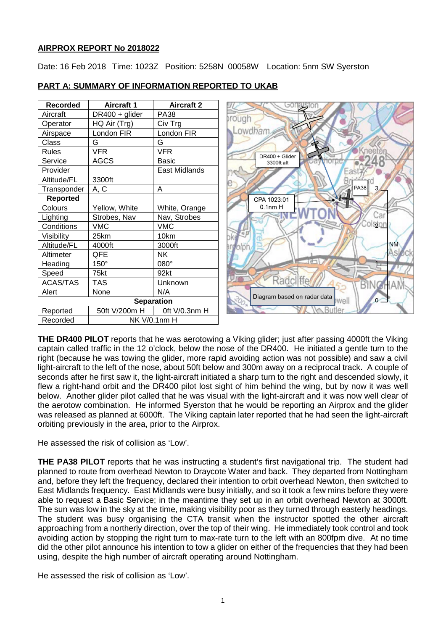### **AIRPROX REPORT No 2018022**

Date: 16 Feb 2018 Time: 1023Z Position: 5258N 00058W Location: 5nm SW Syerston

| Recorded        | Aircraft 1          | <b>Aircraft 2</b> |
|-----------------|---------------------|-------------------|
| Aircraft        | DR400 + glider      | <b>PA38</b>       |
| Operator        | HQ Air (Trg)        | Civ Trg           |
| Airspace        | London FIR          | London FIR        |
| Class           | G                   | G                 |
| <b>Rules</b>    | <b>VFR</b>          | VFR               |
| Service         | <b>AGCS</b>         | Basic             |
| Provider        |                     | East Midlands     |
| Altitude/FL     | 3300ft              |                   |
| Transponder     | A, C                | Α                 |
| <b>Reported</b> |                     |                   |
| Colours         | Yellow, White       | White, Orange     |
| Lighting        | Strobes, Nav        | Nav, Strobes      |
| Conditions      | VMC                 | <b>VMC</b>        |
| Visibility      | 25km                | 10km              |
| Altitude/FL     | 4000ft              | 3000ft            |
| Altimeter       | QFE                 | NΚ                |
| Heading         | $150^\circ$         | $080^\circ$       |
| Speed           | 75kt                | 92kt              |
| <b>ACAS/TAS</b> | TAS                 | Unknown           |
| Alert           | None                | N/A               |
|                 | <b>Separation</b>   |                   |
| Reported        | 50ft V/200m H       | Oft V/0.3nm H     |
| Recorded        | <b>NK V/0.1nm H</b> |                   |

## **PART A: SUMMARY OF INFORMATION REPORTED TO UKAB**



**THE DR400 PILOT** reports that he was aerotowing a Viking glider; just after passing 4000ft the Viking captain called traffic in the 12 o'clock, below the nose of the DR400. He initiated a gentle turn to the right (because he was towing the glider, more rapid avoiding action was not possible) and saw a civil light-aircraft to the left of the nose, about 50ft below and 300m away on a reciprocal track. A couple of seconds after he first saw it, the light-aircraft initiated a sharp turn to the right and descended slowly, it flew a right-hand orbit and the DR400 pilot lost sight of him behind the wing, but by now it was well below. Another glider pilot called that he was visual with the light-aircraft and it was now well clear of the aerotow combination. He informed Syerston that he would be reporting an Airprox and the glider was released as planned at 6000ft. The Viking captain later reported that he had seen the light-aircraft orbiting previously in the area, prior to the Airprox.

He assessed the risk of collision as 'Low'.

**THE PA38 PILOT** reports that he was instructing a student's first navigational trip. The student had planned to route from overhead Newton to Draycote Water and back. They departed from Nottingham and, before they left the frequency, declared their intention to orbit overhead Newton, then switched to East Midlands frequency. East Midlands were busy initially, and so it took a few mins before they were able to request a Basic Service; in the meantime they set up in an orbit overhead Newton at 3000ft. The sun was low in the sky at the time, making visibility poor as they turned through easterly headings. The student was busy organising the CTA transit when the instructor spotted the other aircraft approaching from a northerly direction, over the top of their wing. He immediately took control and took avoiding action by stopping the right turn to max-rate turn to the left with an 800fpm dive. At no time did the other pilot announce his intention to tow a glider on either of the frequencies that they had been using, despite the high number of aircraft operating around Nottingham.

He assessed the risk of collision as 'Low'.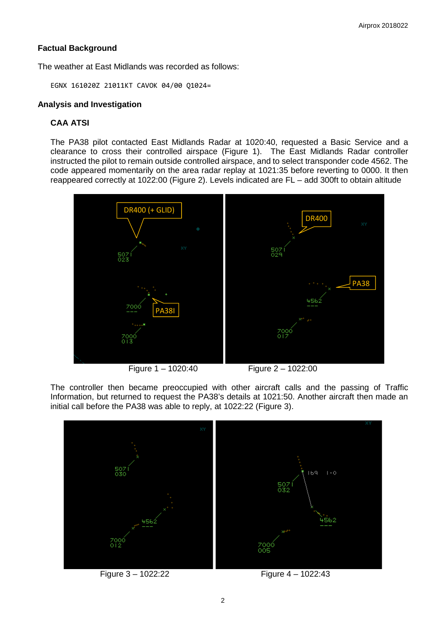# **Factual Background**

The weather at East Midlands was recorded as follows:

EGNX 161020Z 21011KT CAVOK 04/00 Q1024=

### **Analysis and Investigation**

# **CAA ATSI**

The PA38 pilot contacted East Midlands Radar at 1020:40, requested a Basic Service and a clearance to cross their controlled airspace (Figure 1). The East Midlands Radar controller instructed the pilot to remain outside controlled airspace, and to select transponder code 4562. The code appeared momentarily on the area radar replay at 1021:35 before reverting to 0000. It then reappeared correctly at 1022:00 (Figure 2). Levels indicated are FL – add 300ft to obtain altitude



Figure 1 – 1020:40 Figure 2 – 1022:00

The controller then became preoccupied with other aircraft calls and the passing of Traffic Information, but returned to request the PA38's details at 1021:50. Another aircraft then made an initial call before the PA38 was able to reply, at 1022:22 (Figure 3).

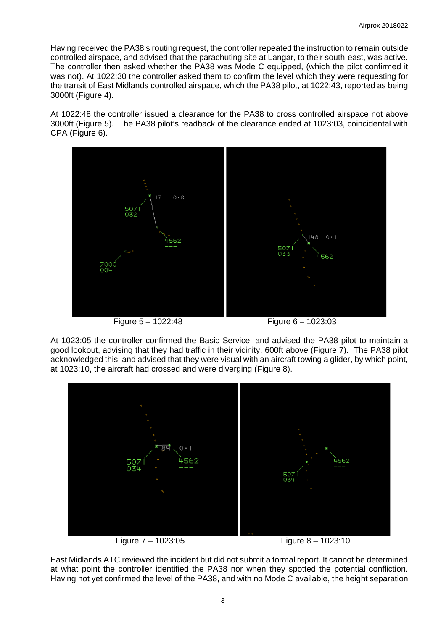Having received the PA38's routing request, the controller repeated the instruction to remain outside controlled airspace, and advised that the parachuting site at Langar, to their south-east, was active. The controller then asked whether the PA38 was Mode C equipped, (which the pilot confirmed it was not). At 1022:30 the controller asked them to confirm the level which they were requesting for the transit of East Midlands controlled airspace, which the PA38 pilot, at 1022:43, reported as being 3000ft (Figure 4).

At 1022:48 the controller issued a clearance for the PA38 to cross controlled airspace not above 3000ft (Figure 5). The PA38 pilot's readback of the clearance ended at 1023:03, coincidental with CPA (Figure 6).





At 1023:05 the controller confirmed the Basic Service, and advised the PA38 pilot to maintain a good lookout, advising that they had traffic in their vicinity, 600ft above (Figure 7). The PA38 pilot acknowledged this, and advised that they were visual with an aircraft towing a glider, by which point, at 1023:10, the aircraft had crossed and were diverging (Figure 8).





Figure 7 – 1023:05 Figure 8 – 1023:10

East Midlands ATC reviewed the incident but did not submit a formal report. It cannot be determined at what point the controller identified the PA38 nor when they spotted the potential confliction. Having not yet confirmed the level of the PA38, and with no Mode C available, the height separation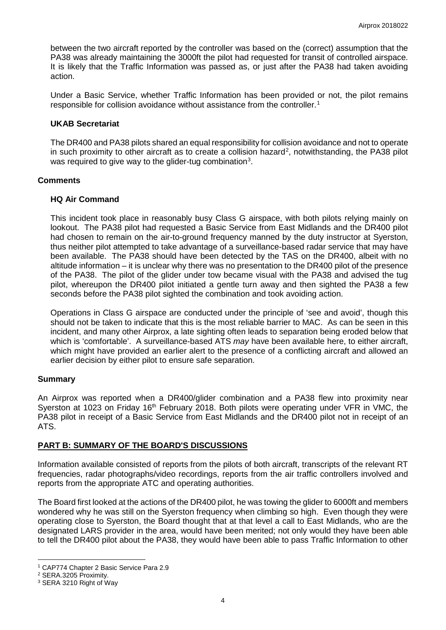between the two aircraft reported by the controller was based on the (correct) assumption that the PA38 was already maintaining the 3000ft the pilot had requested for transit of controlled airspace. It is likely that the Traffic Information was passed as, or just after the PA38 had taken avoiding action.

Under a Basic Service, whether Traffic Information has been provided or not, the pilot remains responsible for collision avoidance without assistance from the controller.<sup>[1](#page-3-0)</sup>

#### **UKAB Secretariat**

The DR400 and PA38 pilots shared an equal responsibility for collision avoidance and not to operate in such proximity to other aircraft as to create a collision hazard<sup>[2](#page-3-1)</sup>, notwithstanding, the PA38 pilot was required to give way to the glider-tug combination<sup>[3](#page-3-2)</sup>.

### **Comments**

### **HQ Air Command**

This incident took place in reasonably busy Class G airspace, with both pilots relying mainly on lookout. The PA38 pilot had requested a Basic Service from East Midlands and the DR400 pilot had chosen to remain on the air-to-ground frequency manned by the duty instructor at Syerston, thus neither pilot attempted to take advantage of a surveillance-based radar service that may have been available. The PA38 should have been detected by the TAS on the DR400, albeit with no altitude information – it is unclear why there was no presentation to the DR400 pilot of the presence of the PA38. The pilot of the glider under tow became visual with the PA38 and advised the tug pilot, whereupon the DR400 pilot initiated a gentle turn away and then sighted the PA38 a few seconds before the PA38 pilot sighted the combination and took avoiding action.

Operations in Class G airspace are conducted under the principle of 'see and avoid', though this should not be taken to indicate that this is the most reliable barrier to MAC. As can be seen in this incident, and many other Airprox, a late sighting often leads to separation being eroded below that which is 'comfortable'. A surveillance-based ATS *may* have been available here, to either aircraft, which might have provided an earlier alert to the presence of a conflicting aircraft and allowed an earlier decision by either pilot to ensure safe separation.

## **Summary**

An Airprox was reported when a DR400/glider combination and a PA38 flew into proximity near Syerston at 1023 on Friday 16<sup>th</sup> February 2018. Both pilots were operating under VFR in VMC, the PA38 pilot in receipt of a Basic Service from East Midlands and the DR400 pilot not in receipt of an ATS.

## **PART B: SUMMARY OF THE BOARD'S DISCUSSIONS**

Information available consisted of reports from the pilots of both aircraft, transcripts of the relevant RT frequencies, radar photographs/video recordings, reports from the air traffic controllers involved and reports from the appropriate ATC and operating authorities.

The Board first looked at the actions of the DR400 pilot, he was towing the glider to 6000ft and members wondered why he was still on the Syerston frequency when climbing so high. Even though they were operating close to Syerston, the Board thought that at that level a call to East Midlands, who are the designated LARS provider in the area, would have been merited; not only would they have been able to tell the DR400 pilot about the PA38, they would have been able to pass Traffic Information to other

 $\overline{\phantom{a}}$ 

<span id="page-3-0"></span><sup>1</sup> CAP774 Chapter 2 Basic Service Para 2.9

<span id="page-3-1"></span><sup>2</sup> SERA.3205 Proximity.

<span id="page-3-2"></span><sup>3</sup> SERA 3210 Right of Way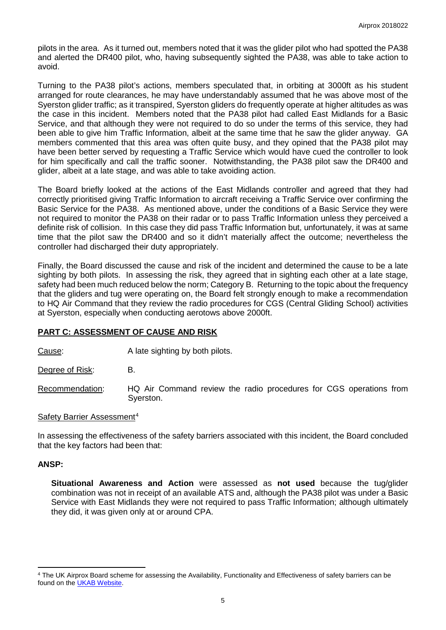pilots in the area. As it turned out, members noted that it was the glider pilot who had spotted the PA38 and alerted the DR400 pilot, who, having subsequently sighted the PA38, was able to take action to avoid.

Turning to the PA38 pilot's actions, members speculated that, in orbiting at 3000ft as his student arranged for route clearances, he may have understandably assumed that he was above most of the Syerston glider traffic; as it transpired, Syerston gliders do frequently operate at higher altitudes as was the case in this incident. Members noted that the PA38 pilot had called East Midlands for a Basic Service, and that although they were not required to do so under the terms of this service, they had been able to give him Traffic Information, albeit at the same time that he saw the glider anyway. GA members commented that this area was often quite busy, and they opined that the PA38 pilot may have been better served by requesting a Traffic Service which would have cued the controller to look for him specifically and call the traffic sooner. Notwithstanding, the PA38 pilot saw the DR400 and glider, albeit at a late stage, and was able to take avoiding action.

The Board briefly looked at the actions of the East Midlands controller and agreed that they had correctly prioritised giving Traffic Information to aircraft receiving a Traffic Service over confirming the Basic Service for the PA38. As mentioned above, under the conditions of a Basic Service they were not required to monitor the PA38 on their radar or to pass Traffic Information unless they perceived a definite risk of collision. In this case they did pass Traffic Information but, unfortunately, it was at same time that the pilot saw the DR400 and so it didn't materially affect the outcome; nevertheless the controller had discharged their duty appropriately.

Finally, the Board discussed the cause and risk of the incident and determined the cause to be a late sighting by both pilots. In assessing the risk, they agreed that in sighting each other at a late stage, safety had been much reduced below the norm; Category B. Returning to the topic about the frequency that the gliders and tug were operating on, the Board felt strongly enough to make a recommendation to HQ Air Command that they review the radio procedures for CGS (Central Gliding School) activities at Syerston, especially when conducting aerotows above 2000ft.

## **PART C: ASSESSMENT OF CAUSE AND RISK**

Cause: A late sighting by both pilots.

Degree of Risk: B.

Recommendation: HQ Air Command review the radio procedures for CGS operations from Syerston.

#### Safety Barrier Assessment<sup>[4](#page-4-0)</sup>

In assessing the effectiveness of the safety barriers associated with this incident, the Board concluded that the key factors had been that:

#### **ANSP:**

l

**Situational Awareness and Action** were assessed as **not used** because the tug/glider combination was not in receipt of an available ATS and, although the PA38 pilot was under a Basic Service with East Midlands they were not required to pass Traffic Information; although ultimately they did, it was given only at or around CPA.

<span id="page-4-0"></span><sup>4</sup> The UK Airprox Board scheme for assessing the Availability, Functionality and Effectiveness of safety barriers can be found on the [UKAB Website.](http://www.airproxboard.org.uk/Learn-more/Airprox-Barrier-Assessment/)